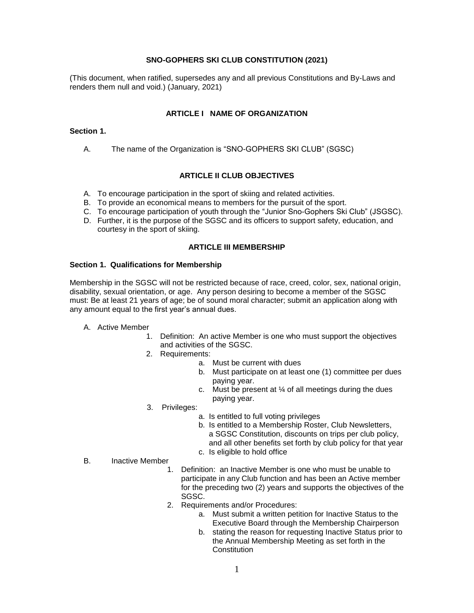### **SNO-GOPHERS SKI CLUB CONSTITUTION (2021)**

(This document, when ratified, supersedes any and all previous Constitutions and By-Laws and renders them null and void.) (January, 2021)

### **ARTICLE I NAME OF ORGANIZATION**

#### **Section 1.**

A. The name of the Organization is "SNO-GOPHERS SKI CLUB" (SGSC)

### **ARTICLE II CLUB OBJECTIVES**

- A. To encourage participation in the sport of skiing and related activities.
- B. To provide an economical means to members for the pursuit of the sport.
- C. To encourage participation of youth through the "Junior Sno-Gophers Ski Club" (JSGSC).
- D. Further, it is the purpose of the SGSC and its officers to support safety, education, and courtesy in the sport of skiing.

### **ARTICLE III MEMBERSHIP**

#### **Section 1. Qualifications for Membership**

Membership in the SGSC will not be restricted because of race, creed, color, sex, national origin, disability, sexual orientation, or age. Any person desiring to become a member of the SGSC must: Be at least 21 years of age; be of sound moral character; submit an application along with any amount equal to the first year's annual dues.

- A. Active Member
	- 1. Definition: An active Member is one who must support the objectives and activities of the SGSC.
	- 2. Requirements:
		- a. Must be current with dues
		- b. Must participate on at least one (1) committee per dues paying year.
		- c. Must be present at  $\frac{1}{4}$  of all meetings during the dues paying year.
	- 3. Privileges:
		- a. Is entitled to full voting privileges
		- b. Is entitled to a Membership Roster, Club Newsletters, a SGSC Constitution, discounts on trips per club policy, and all other benefits set forth by club policy for that year
		- c. Is eligible to hold office
- B. Inactive Member
	- 1. Definition: an Inactive Member is one who must be unable to participate in any Club function and has been an Active member for the preceding two (2) years and supports the objectives of the SGSC.
	- 2. Requirements and/or Procedures:
		- a. Must submit a written petition for Inactive Status to the Executive Board through the Membership Chairperson
		- b. stating the reason for requesting Inactive Status prior to the Annual Membership Meeting as set forth in the **Constitution**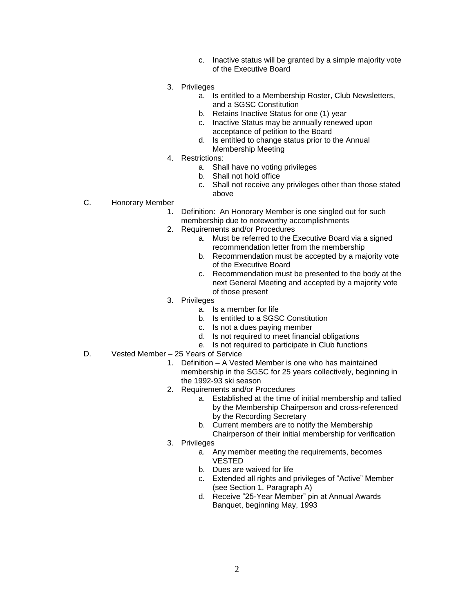- c. Inactive status will be granted by a simple majority vote of the Executive Board
- 3. Privileges
	- a. Is entitled to a Membership Roster, Club Newsletters, and a SGSC Constitution
	- b. Retains Inactive Status for one (1) year
	- c. Inactive Status may be annually renewed upon acceptance of petition to the Board
	- d. Is entitled to change status prior to the Annual Membership Meeting
- 4. Restrictions:
	- a. Shall have no voting privileges
	- b. Shall not hold office
	- c. Shall not receive any privileges other than those stated above
- C. Honorary Member
	- 1. Definition: An Honorary Member is one singled out for such membership due to noteworthy accomplishments
	- 2. Requirements and/or Procedures
		- a. Must be referred to the Executive Board via a signed recommendation letter from the membership
		- b. Recommendation must be accepted by a majority vote of the Executive Board
		- c. Recommendation must be presented to the body at the next General Meeting and accepted by a majority vote of those present
	- 3. Privileges
		- a. Is a member for life
		- b. Is entitled to a SGSC Constitution
		- c. Is not a dues paying member
		- d. Is not required to meet financial obligations
		- e. Is not required to participate in Club functions
- D. Vested Member 25 Years of Service
	- 1. Definition A Vested Member is one who has maintained membership in the SGSC for 25 years collectively, beginning in the 1992-93 ski season
	- 2. Requirements and/or Procedures
		- a. Established at the time of initial membership and tallied by the Membership Chairperson and cross-referenced by the Recording Secretary
		- b. Current members are to notify the Membership
		- Chairperson of their initial membership for verification
	- 3. Privileges
		- a. Any member meeting the requirements, becomes VESTED
			- b. Dues are waived for life
		- c. Extended all rights and privileges of "Active" Member (see Section 1, Paragraph A)
		- d. Receive "25-Year Member" pin at Annual Awards Banquet, beginning May, 1993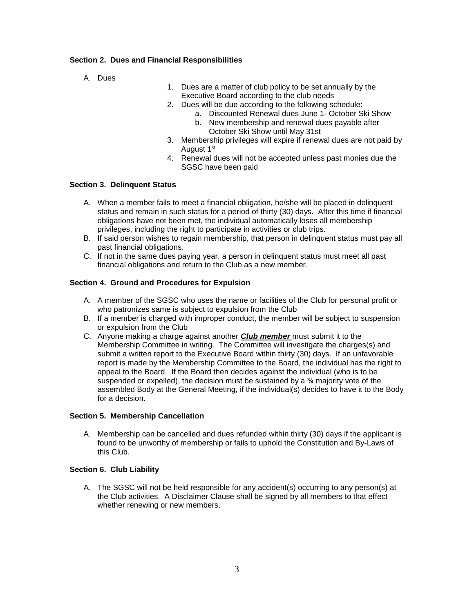## **Section 2. Dues and Financial Responsibilities**

- A. Dues
- 1. Dues are a matter of club policy to be set annually by the Executive Board according to the club needs
- 2. Dues will be due according to the following schedule:
	- a. Discounted Renewal dues June 1- October Ski Show
	- b. New membership and renewal dues payable after October Ski Show until May 31st
- 3. Membership privileges will expire if renewal dues are not paid by August 1st
- 4. Renewal dues will not be accepted unless past monies due the SGSC have been paid

### **Section 3. Delinquent Status**

- A. When a member fails to meet a financial obligation, he/she will be placed in delinquent status and remain in such status for a period of thirty (30) days. After this time if financial obligations have not been met, the individual automatically loses all membership privileges, including the right to participate in activities or club trips.
- B. If said person wishes to regain membership, that person in delinquent status must pay all past financial obligations.
- C. If not in the same dues paying year, a person in delinquent status must meet all past financial obligations and return to the Club as a new member.

### **Section 4. Ground and Procedures for Expulsion**

- A. A member of the SGSC who uses the name or facilities of the Club for personal profit or who patronizes same is subject to expulsion from the Club
- B. If a member is charged with improper conduct, the member will be subject to suspension or expulsion from the Club
- C. Anyone making a charge against another *Club member* must submit it to the Membership Committee in writing. The Committee will investigate the charges(s) and submit a written report to the Executive Board within thirty (30) days. If an unfavorable report is made by the Membership Committee to the Board, the individual has the right to appeal to the Board. If the Board then decides against the individual (who is to be suspended or expelled), the decision must be sustained by a  $\frac{3}{4}$  majority vote of the assembled Body at the General Meeting, if the individual(s) decides to have it to the Body for a decision.

### **Section 5. Membership Cancellation**

A. Membership can be cancelled and dues refunded within thirty (30) days if the applicant is found to be unworthy of membership or fails to uphold the Constitution and By-Laws of this Club.

### **Section 6. Club Liability**

A. The SGSC will not be held responsible for any accident(s) occurring to any person(s) at the Club activities. A Disclaimer Clause shall be signed by all members to that effect whether renewing or new members.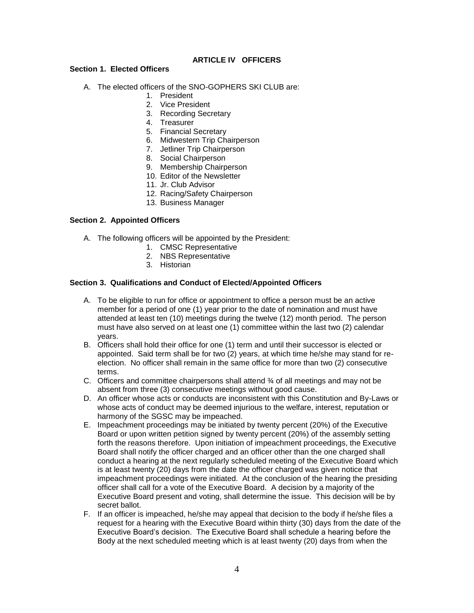## **ARTICLE IV OFFICERS**

#### **Section 1. Elected Officers**

- A. The elected officers of the SNO-GOPHERS SKI CLUB are:
	- 1. President
	- 2. Vice President
	- 3. Recording Secretary
	- 4. Treasurer
	- 5. Financial Secretary
	- 6. Midwestern Trip Chairperson
	- 7. Jetliner Trip Chairperson
	- 8. Social Chairperson
	- 9. Membership Chairperson
	- 10. Editor of the Newsletter
	- 11. Jr. Club Advisor
	- 12. Racing/Safety Chairperson
	- 13. Business Manager

#### **Section 2. Appointed Officers**

- A. The following officers will be appointed by the President:
	- 1. CMSC Representative
	- 2. NBS Representative
	- 3. Historian

#### **Section 3. Qualifications and Conduct of Elected/Appointed Officers**

- A. To be eligible to run for office or appointment to office a person must be an active member for a period of one (1) year prior to the date of nomination and must have attended at least ten (10) meetings during the twelve (12) month period. The person must have also served on at least one (1) committee within the last two (2) calendar years.
- B. Officers shall hold their office for one (1) term and until their successor is elected or appointed. Said term shall be for two (2) years, at which time he/she may stand for reelection. No officer shall remain in the same office for more than two (2) consecutive terms.
- C. Officers and committee chairpersons shall attend  $\frac{3}{4}$  of all meetings and may not be absent from three (3) consecutive meetings without good cause.
- D. An officer whose acts or conducts are inconsistent with this Constitution and By-Laws or whose acts of conduct may be deemed injurious to the welfare, interest, reputation or harmony of the SGSC may be impeached.
- E. Impeachment proceedings may be initiated by twenty percent (20%) of the Executive Board or upon written petition signed by twenty percent (20%) of the assembly setting forth the reasons therefore. Upon initiation of impeachment proceedings, the Executive Board shall notify the officer charged and an officer other than the one charged shall conduct a hearing at the next regularly scheduled meeting of the Executive Board which is at least twenty (20) days from the date the officer charged was given notice that impeachment proceedings were initiated. At the conclusion of the hearing the presiding officer shall call for a vote of the Executive Board. A decision by a majority of the Executive Board present and voting, shall determine the issue. This decision will be by secret ballot.
- F. If an officer is impeached, he/she may appeal that decision to the body if he/she files a request for a hearing with the Executive Board within thirty (30) days from the date of the Executive Board's decision. The Executive Board shall schedule a hearing before the Body at the next scheduled meeting which is at least twenty (20) days from when the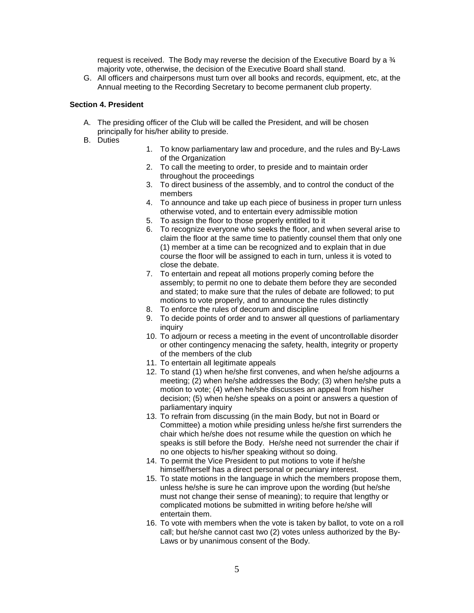request is received. The Body may reverse the decision of the Executive Board by a ¾ majority vote, otherwise, the decision of the Executive Board shall stand.

G. All officers and chairpersons must turn over all books and records, equipment, etc, at the Annual meeting to the Recording Secretary to become permanent club property.

#### **Section 4. President**

- A. The presiding officer of the Club will be called the President, and will be chosen principally for his/her ability to preside.
- B. Duties
- 1. To know parliamentary law and procedure, and the rules and By-Laws of the Organization
- 2. To call the meeting to order, to preside and to maintain order throughout the proceedings
- 3. To direct business of the assembly, and to control the conduct of the members
- 4. To announce and take up each piece of business in proper turn unless otherwise voted, and to entertain every admissible motion
- 5. To assign the floor to those properly entitled to it
- 6. To recognize everyone who seeks the floor, and when several arise to claim the floor at the same time to patiently counsel them that only one (1) member at a time can be recognized and to explain that in due course the floor will be assigned to each in turn, unless it is voted to close the debate.
- 7. To entertain and repeat all motions properly coming before the assembly; to permit no one to debate them before they are seconded and stated; to make sure that the rules of debate are followed; to put motions to vote properly, and to announce the rules distinctly
- 8. To enforce the rules of decorum and discipline
- 9. To decide points of order and to answer all questions of parliamentary inquiry
- 10. To adjourn or recess a meeting in the event of uncontrollable disorder or other contingency menacing the safety, health, integrity or property of the members of the club
- 11. To entertain all legitimate appeals
- 12. To stand (1) when he/she first convenes, and when he/she adjourns a meeting; (2) when he/she addresses the Body; (3) when he/she puts a motion to vote; (4) when he/she discusses an appeal from his/her decision; (5) when he/she speaks on a point or answers a question of parliamentary inquiry
- 13. To refrain from discussing (in the main Body, but not in Board or Committee) a motion while presiding unless he/she first surrenders the chair which he/she does not resume while the question on which he speaks is still before the Body. He/she need not surrender the chair if no one objects to his/her speaking without so doing.
- 14. To permit the Vice President to put motions to vote if he/she himself/herself has a direct personal or pecuniary interest.
- 15. To state motions in the language in which the members propose them, unless he/she is sure he can improve upon the wording (but he/she must not change their sense of meaning); to require that lengthy or complicated motions be submitted in writing before he/she will entertain them.
- 16. To vote with members when the vote is taken by ballot, to vote on a roll call; but he/she cannot cast two (2) votes unless authorized by the By-Laws or by unanimous consent of the Body.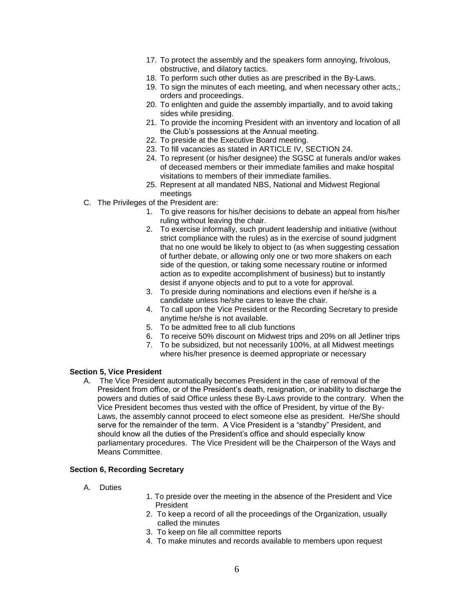- 17. To protect the assembly and the speakers form annoying, frivolous, obstructive, and dilatory tactics.
- 18. To perform such other duties as are prescribed in the By-Laws.
- 19. To sign the minutes of each meeting, and when necessary other acts,; orders and proceedings.
- 20. To enlighten and guide the assembly impartially, and to avoid taking sides while presiding.
- 21. To provide the incoming President with an inventory and location of all the Club's possessions at the Annual meeting.
- 22. To preside at the Executive Board meeting.
- 23. To fill vacancies as stated in ARTICLE IV, SECTION 24.
- 24. To represent (or his/her designee) the SGSC at funerals and/or wakes of deceased members or their immediate families and make hospital visitations to members of their immediate families.
- 25. Represent at all mandated NBS, National and Midwest Regional meetings
- C. The Privileges of the President are:
	- 1. To give reasons for his/her decisions to debate an appeal from his/her ruling without leaving the chair.
	- 2. To exercise informally, such prudent leadership and initiative (without strict compliance with the rules) as in the exercise of sound judgment that no one would be likely to object to (as when suggesting cessation of further debate, or allowing only one or two more shakers on each side of the question, or taking some necessary routine or informed action as to expedite accomplishment of business) but to instantly desist if anyone objects and to put to a vote for approval.
	- 3. To preside during nominations and elections even if he/she is a candidate unless he/she cares to leave the chair.
	- 4. To call upon the Vice President or the Recording Secretary to preside anytime he/she is not available.
	- 5. To be admitted free to all club functions
	- 6. To receive 50% discount on Midwest trips and 20% on all Jetliner trips
	- 7. To be subsidized, but not necessarily 100%, at all Midwest meetings where his/her presence is deemed appropriate or necessary

## **Section 5, Vice President**

A. The Vice President automatically becomes President in the case of removal of the President from office, or of the President's death, resignation, or inability to discharge the powers and duties of said Office unless these By-Laws provide to the contrary. When the Vice President becomes thus vested with the office of President, by virtue of the By-Laws, the assembly cannot proceed to elect someone else as president. He/She should serve for the remainder of the term. A Vice President is a "standby" President, and should know all the duties of the President's office and should especially know parliamentary procedures. The Vice President will be the Chairperson of the Ways and Means Committee.

### **Section 6, Recording Secretary**

- A. Duties
- 1. To preside over the meeting in the absence of the President and Vice President
- 2. To keep a record of all the proceedings of the Organization, usually called the minutes
- 3. To keep on file all committee reports
- 4. To make minutes and records available to members upon request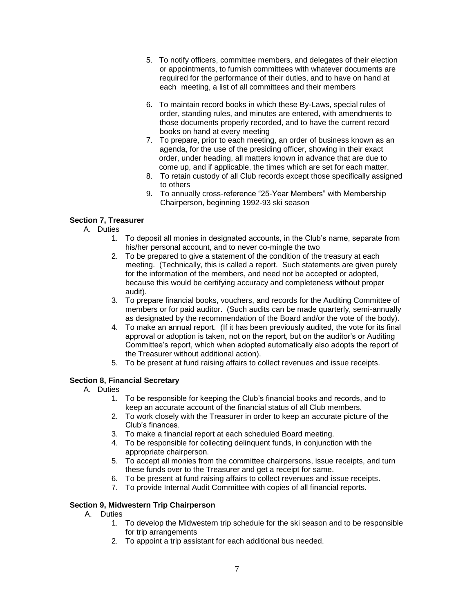- 5. To notify officers, committee members, and delegates of their election or appointments, to furnish committees with whatever documents are required for the performance of their duties, and to have on hand at each meeting, a list of all committees and their members
- 6. To maintain record books in which these By-Laws, special rules of order, standing rules, and minutes are entered, with amendments to those documents properly recorded, and to have the current record books on hand at every meeting
- 7. To prepare, prior to each meeting, an order of business known as an agenda, for the use of the presiding officer, showing in their exact order, under heading, all matters known in advance that are due to come up, and if applicable, the times which are set for each matter.
- 8. To retain custody of all Club records except those specifically assigned to others
- 9. To annually cross-reference "25-Year Members" with Membership Chairperson, beginning 1992-93 ski season

# **Section 7, Treasurer**

- A. Duties
	- 1. To deposit all monies in designated accounts, in the Club's name, separate from his/her personal account, and to never co-mingle the two
	- 2. To be prepared to give a statement of the condition of the treasury at each meeting. (Technically, this is called a report. Such statements are given purely for the information of the members, and need not be accepted or adopted, because this would be certifying accuracy and completeness without proper audit).
	- 3. To prepare financial books, vouchers, and records for the Auditing Committee of members or for paid auditor. (Such audits can be made quarterly, semi-annually as designated by the recommendation of the Board and/or the vote of the body).
	- 4. To make an annual report. (If it has been previously audited, the vote for its final approval or adoption is taken, not on the report, but on the auditor's or Auditing Committee's report, which when adopted automatically also adopts the report of the Treasurer without additional action).
	- 5. To be present at fund raising affairs to collect revenues and issue receipts.

# **Section 8, Financial Secretary**

- A. Duties
	- 1. To be responsible for keeping the Club's financial books and records, and to keep an accurate account of the financial status of all Club members.
	- 2. To work closely with the Treasurer in order to keep an accurate picture of the Club's finances.
	- 3. To make a financial report at each scheduled Board meeting.
	- 4. To be responsible for collecting delinquent funds, in conjunction with the appropriate chairperson.
	- 5. To accept all monies from the committee chairpersons, issue receipts, and turn these funds over to the Treasurer and get a receipt for same.
	- 6. To be present at fund raising affairs to collect revenues and issue receipts.
	- 7. To provide Internal Audit Committee with copies of all financial reports.

# **Section 9, Midwestern Trip Chairperson**

- A. Duties
	- 1. To develop the Midwestern trip schedule for the ski season and to be responsible for trip arrangements
	- 2. To appoint a trip assistant for each additional bus needed.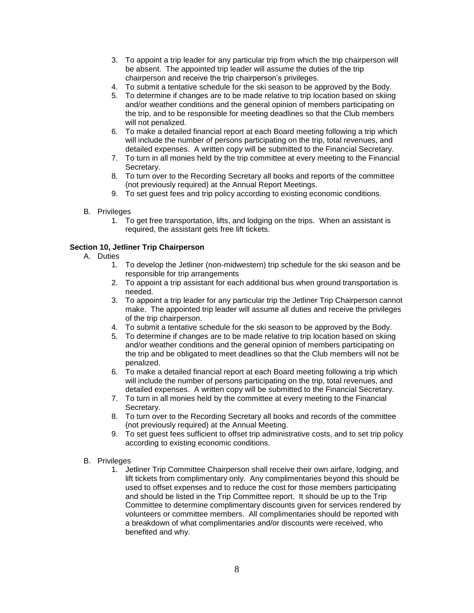- 3. To appoint a trip leader for any particular trip from which the trip chairperson will be absent. The appointed trip leader will assume the duties of the trip chairperson and receive the trip chairperson's privileges.
- 4. To submit a tentative schedule for the ski season to be approved by the Body.
- 5. To determine if changes are to be made relative to trip location based on skiing and/or weather conditions and the general opinion of members participating on the trip, and to be responsible for meeting deadlines so that the Club members will not penalized.
- 6. To make a detailed financial report at each Board meeting following a trip which will include the number of persons participating on the trip, total revenues, and detailed expenses. A written copy will be submitted to the Financial Secretary.
- 7. To turn in all monies held by the trip committee at every meeting to the Financial Secretary.
- 8. To turn over to the Recording Secretary all books and reports of the committee (not previously required) at the Annual Report Meetings.
- 9. To set guest fees and trip policy according to existing economic conditions.
- B. Privileges
	- 1. To get free transportation, lifts, and lodging on the trips. When an assistant is required, the assistant gets free lift tickets.

### **Section 10, Jetliner Trip Chairperson**

- A. Duties
	- 1. To develop the Jetliner (non-midwestern) trip schedule for the ski season and be responsible for trip arrangements
	- 2. To appoint a trip assistant for each additional bus when ground transportation is needed.
	- 3. To appoint a trip leader for any particular trip the Jetliner Trip Chairperson cannot make. The appointed trip leader will assume all duties and receive the privileges of the trip chairperson.
	- 4. To submit a tentative schedule for the ski season to be approved by the Body.
	- 5. To determine if changes are to be made relative to trip location based on skiing and/or weather conditions and the general opinion of members participating on the trip and be obligated to meet deadlines so that the Club members will not be penalized.
	- 6. To make a detailed financial report at each Board meeting following a trip which will include the number of persons participating on the trip, total revenues, and detailed expenses. A written copy will be submitted to the Financial Secretary.
	- 7. To turn in all monies held by the committee at every meeting to the Financial Secretary.
	- 8. To turn over to the Recording Secretary all books and records of the committee (not previously required) at the Annual Meeting.
	- 9. To set guest fees sufficient to offset trip administrative costs, and to set trip policy according to existing economic conditions.
- B. Privileges
	- 1. Jetliner Trip Committee Chairperson shall receive their own airfare, lodging, and lift tickets from complimentary only. Any complimentaries beyond this should be used to offset expenses and to reduce the cost for those members participating and should be listed in the Trip Committee report. It should be up to the Trip Committee to determine complimentary discounts given for services rendered by volunteers or committee members. All complimentaries should be reported with a breakdown of what complimentaries and/or discounts were received, who benefited and why.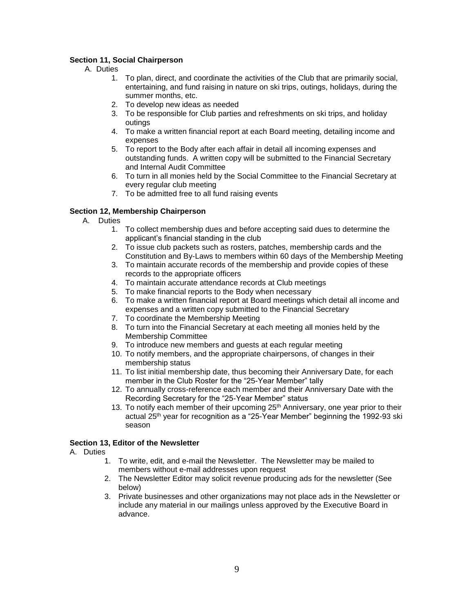## **Section 11, Social Chairperson**

- A. Duties
	- 1. To plan, direct, and coordinate the activities of the Club that are primarily social, entertaining, and fund raising in nature on ski trips, outings, holidays, during the summer months, etc.
	- 2. To develop new ideas as needed
	- 3. To be responsible for Club parties and refreshments on ski trips, and holiday outings
	- 4. To make a written financial report at each Board meeting, detailing income and expenses
	- 5. To report to the Body after each affair in detail all incoming expenses and outstanding funds. A written copy will be submitted to the Financial Secretary and Internal Audit Committee
	- 6. To turn in all monies held by the Social Committee to the Financial Secretary at every regular club meeting
	- 7. To be admitted free to all fund raising events

# **Section 12, Membership Chairperson**

- A. Duties
	- 1. To collect membership dues and before accepting said dues to determine the applicant's financial standing in the club
	- 2. To issue club packets such as rosters, patches, membership cards and the Constitution and By-Laws to members within 60 days of the Membership Meeting
	- 3. To maintain accurate records of the membership and provide copies of these records to the appropriate officers
	- 4. To maintain accurate attendance records at Club meetings
	- 5. To make financial reports to the Body when necessary
	- 6. To make a written financial report at Board meetings which detail all income and expenses and a written copy submitted to the Financial Secretary
	- 7. To coordinate the Membership Meeting
	- 8. To turn into the Financial Secretary at each meeting all monies held by the Membership Committee
	- 9. To introduce new members and guests at each regular meeting
	- 10. To notify members, and the appropriate chairpersons, of changes in their membership status
	- 11. To list initial membership date, thus becoming their Anniversary Date, for each member in the Club Roster for the "25-Year Member" tally
	- 12. To annually cross-reference each member and their Anniversary Date with the Recording Secretary for the "25-Year Member" status
	- 13. To notify each member of their upcoming  $25<sup>th</sup>$  Anniversary, one year prior to their actual 25th year for recognition as a "25-Year Member" beginning the 1992-93 ski season

### **Section 13, Editor of the Newsletter**

- A. Duties
	- 1. To write, edit, and e-mail the Newsletter. The Newsletter may be mailed to members without e-mail addresses upon request
	- 2. The Newsletter Editor may solicit revenue producing ads for the newsletter (See below)
	- 3. Private businesses and other organizations may not place ads in the Newsletter or include any material in our mailings unless approved by the Executive Board in advance.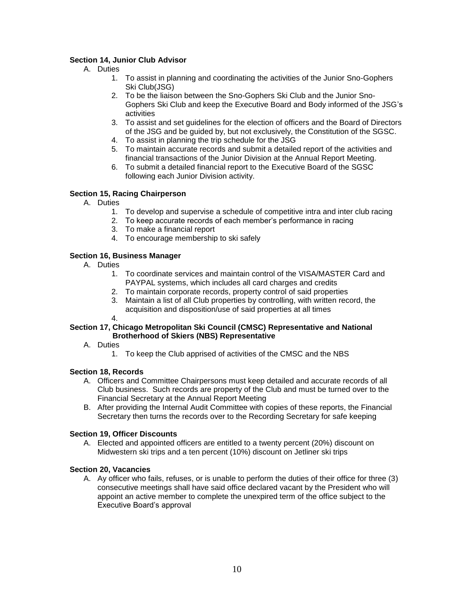# **Section 14, Junior Club Advisor**

- A. Duties
	- 1. To assist in planning and coordinating the activities of the Junior Sno-Gophers Ski Club(JSG)
	- 2. To be the liaison between the Sno-Gophers Ski Club and the Junior Sno-Gophers Ski Club and keep the Executive Board and Body informed of the JSG's activities
	- 3. To assist and set guidelines for the election of officers and the Board of Directors of the JSG and be guided by, but not exclusively, the Constitution of the SGSC.
	- 4. To assist in planning the trip schedule for the JSG
	- 5. To maintain accurate records and submit a detailed report of the activities and financial transactions of the Junior Division at the Annual Report Meeting.
	- 6. To submit a detailed financial report to the Executive Board of the SGSC following each Junior Division activity.

# **Section 15, Racing Chairperson**

- A. Duties
	- 1. To develop and supervise a schedule of competitive intra and inter club racing
	- 2. To keep accurate records of each member's performance in racing
	- 3. To make a financial report
	- 4. To encourage membership to ski safely

# **Section 16, Business Manager**

- A. Duties
	- 1. To coordinate services and maintain control of the VISA/MASTER Card and PAYPAL systems, which includes all card charges and credits
	- 2. To maintain corporate records, property control of said properties
	- 3. Maintain a list of all Club properties by controlling, with written record, the acquisition and disposition/use of said properties at all times

# **Section 17, Chicago Metropolitan Ski Council (CMSC) Representative and National Brotherhood of Skiers (NBS) Representative**

- A. Duties
	- 1. To keep the Club apprised of activities of the CMSC and the NBS

# **Section 18, Records**

4.

- A. Officers and Committee Chairpersons must keep detailed and accurate records of all Club business. Such records are property of the Club and must be turned over to the Financial Secretary at the Annual Report Meeting
- B. After providing the Internal Audit Committee with copies of these reports, the Financial Secretary then turns the records over to the Recording Secretary for safe keeping

# **Section 19, Officer Discounts**

A. Elected and appointed officers are entitled to a twenty percent (20%) discount on Midwestern ski trips and a ten percent (10%) discount on Jetliner ski trips

# **Section 20, Vacancies**

A. Ay officer who fails, refuses, or is unable to perform the duties of their office for three (3) consecutive meetings shall have said office declared vacant by the President who will appoint an active member to complete the unexpired term of the office subject to the Executive Board's approval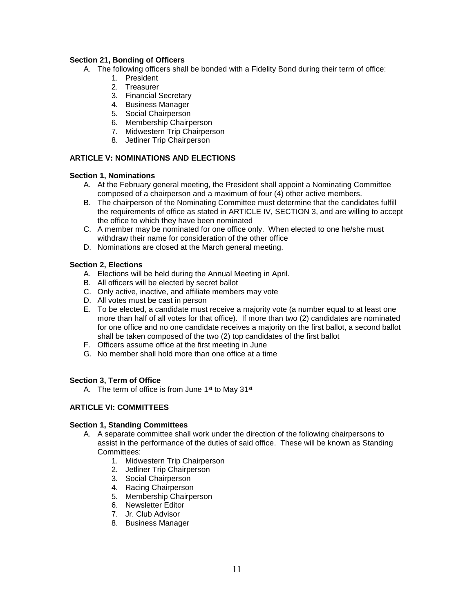## **Section 21, Bonding of Officers**

- A. The following officers shall be bonded with a Fidelity Bond during their term of office:
	- 1. President
	- 2. Treasurer
	- 3. Financial Secretary
	- 4. Business Manager
	- 5. Social Chairperson
	- 6. Membership Chairperson
	- 7. Midwestern Trip Chairperson
	- 8. Jetliner Trip Chairperson

# **ARTICLE V: NOMINATIONS AND ELECTIONS**

### **Section 1, Nominations**

- A. At the February general meeting, the President shall appoint a Nominating Committee composed of a chairperson and a maximum of four (4) other active members.
- B. The chairperson of the Nominating Committee must determine that the candidates fulfill the requirements of office as stated in ARTICLE IV, SECTION 3, and are willing to accept the office to which they have been nominated
- C. A member may be nominated for one office only. When elected to one he/she must withdraw their name for consideration of the other office
- D. Nominations are closed at the March general meeting.

### **Section 2, Elections**

- A. Elections will be held during the Annual Meeting in April.
- B. All officers will be elected by secret ballot
- C. Only active, inactive, and affiliate members may vote
- D. All votes must be cast in person
- E. To be elected, a candidate must receive a majority vote (a number equal to at least one more than half of all votes for that office). If more than two (2) candidates are nominated for one office and no one candidate receives a majority on the first ballot, a second ballot shall be taken composed of the two (2) top candidates of the first ballot
- F. Officers assume office at the first meeting in June
- G. No member shall hold more than one office at a time

# **Section 3, Term of Office**

A. The term of office is from June  $1<sup>st</sup>$  to May  $31<sup>st</sup>$ 

# **ARTICLE VI: COMMITTEES**

### **Section 1, Standing Committees**

- A. A separate committee shall work under the direction of the following chairpersons to assist in the performance of the duties of said office. These will be known as Standing Committees:
	- 1. Midwestern Trip Chairperson
	- 2. Jetliner Trip Chairperson
	- 3. Social Chairperson
	- 4. Racing Chairperson
	- 5. Membership Chairperson
	- 6. Newsletter Editor
	- 7. Jr. Club Advisor
	- 8. Business Manager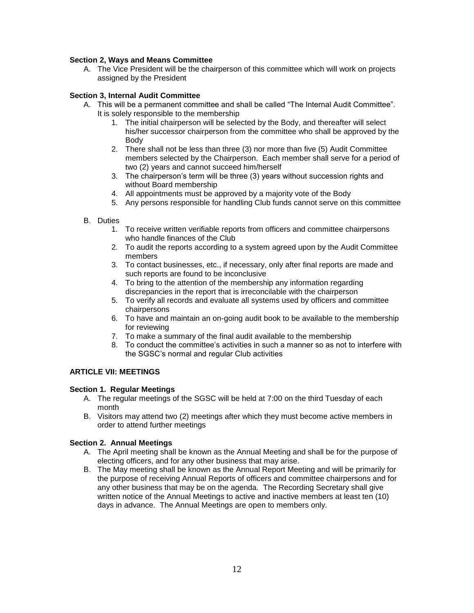### **Section 2, Ways and Means Committee**

A. The Vice President will be the chairperson of this committee which will work on projects assigned by the President

### **Section 3, Internal Audit Committee**

- A. This will be a permanent committee and shall be called "The Internal Audit Committee". It is solely responsible to the membership
	- 1. The initial chairperson will be selected by the Body, and thereafter will select his/her successor chairperson from the committee who shall be approved by the Body
	- 2. There shall not be less than three (3) nor more than five (5) Audit Committee members selected by the Chairperson. Each member shall serve for a period of two (2) years and cannot succeed him/herself
	- 3. The chairperson's term will be three (3) years without succession rights and without Board membership
	- 4. All appointments must be approved by a majority vote of the Body
	- 5. Any persons responsible for handling Club funds cannot serve on this committee
- B. Duties
	- 1. To receive written verifiable reports from officers and committee chairpersons who handle finances of the Club
	- 2. To audit the reports according to a system agreed upon by the Audit Committee members
	- 3. To contact businesses, etc., if necessary, only after final reports are made and such reports are found to be inconclusive
	- 4. To bring to the attention of the membership any information regarding discrepancies in the report that is irreconcilable with the chairperson
	- 5. To verify all records and evaluate all systems used by officers and committee chairpersons
	- 6. To have and maintain an on-going audit book to be available to the membership for reviewing
	- 7. To make a summary of the final audit available to the membership
	- 8. To conduct the committee's activities in such a manner so as not to interfere with the SGSC's normal and regular Club activities

### **ARTICLE VII: MEETINGS**

### **Section 1. Regular Meetings**

- A. The regular meetings of the SGSC will be held at 7:00 on the third Tuesday of each month
- B. Visitors may attend two (2) meetings after which they must become active members in order to attend further meetings

### **Section 2. Annual Meetings**

- A. The April meeting shall be known as the Annual Meeting and shall be for the purpose of electing officers, and for any other business that may arise.
- B. The May meeting shall be known as the Annual Report Meeting and will be primarily for the purpose of receiving Annual Reports of officers and committee chairpersons and for any other business that may be on the agenda. The Recording Secretary shall give written notice of the Annual Meetings to active and inactive members at least ten (10) days in advance. The Annual Meetings are open to members only.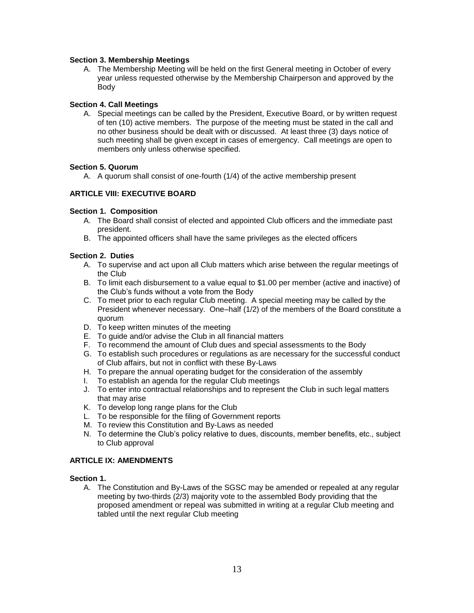### **Section 3. Membership Meetings**

A. The Membership Meeting will be held on the first General meeting in October of every year unless requested otherwise by the Membership Chairperson and approved by the Body

### **Section 4. Call Meetings**

A. Special meetings can be called by the President, Executive Board, or by written request of ten (10) active members. The purpose of the meeting must be stated in the call and no other business should be dealt with or discussed. At least three (3) days notice of such meeting shall be given except in cases of emergency. Call meetings are open to members only unless otherwise specified.

### **Section 5. Quorum**

A. A quorum shall consist of one-fourth (1/4) of the active membership present

# **ARTICLE VIII: EXECUTIVE BOARD**

### **Section 1. Composition**

- A. The Board shall consist of elected and appointed Club officers and the immediate past president.
- B. The appointed officers shall have the same privileges as the elected officers

### **Section 2. Duties**

- A. To supervise and act upon all Club matters which arise between the regular meetings of the Club
- B. To limit each disbursement to a value equal to \$1.00 per member (active and inactive) of the Club's funds without a vote from the Body
- C. To meet prior to each regular Club meeting. A special meeting may be called by the President whenever necessary. One–half (1/2) of the members of the Board constitute a quorum
- D. To keep written minutes of the meeting
- E. To guide and/or advise the Club in all financial matters
- F. To recommend the amount of Club dues and special assessments to the Body
- G. To establish such procedures or regulations as are necessary for the successful conduct of Club affairs, but not in conflict with these By-Laws
- H. To prepare the annual operating budget for the consideration of the assembly
- I. To establish an agenda for the regular Club meetings
- J. To enter into contractual relationships and to represent the Club in such legal matters that may arise
- K. To develop long range plans for the Club
- L. To be responsible for the filing of Government reports
- M. To review this Constitution and By-Laws as needed
- N. To determine the Club's policy relative to dues, discounts, member benefits, etc., subject to Club approval

# **ARTICLE IX: AMENDMENTS**

### **Section 1.**

A. The Constitution and By-Laws of the SGSC may be amended or repealed at any regular meeting by two-thirds (2/3) majority vote to the assembled Body providing that the proposed amendment or repeal was submitted in writing at a regular Club meeting and tabled until the next regular Club meeting